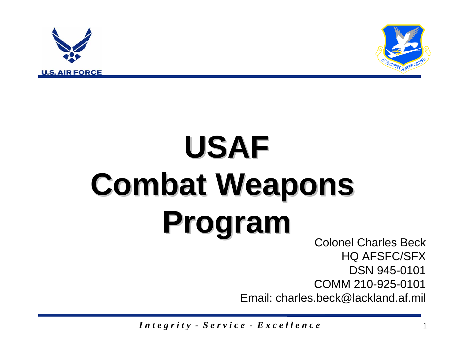



## **USAF Combat Weapons Combat Weapons Program Program** Colonel Charles Beck

HQ AFSFC/SFX DSN 945-0101 COMM 210-925-0101 Email: charles.beck@lackland.af.mil

*I n t e g r i t y - S e r v i c e - E x c e l l e n c e* <sup>1</sup>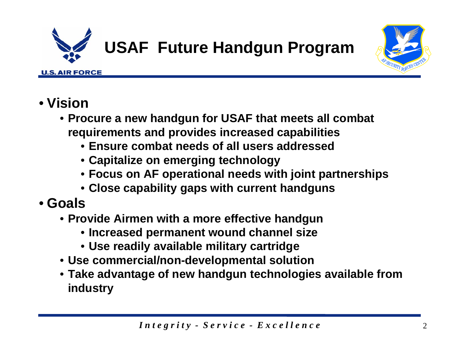

## **USAF Future Handgun Program**



- **Vision**
	- **Procure a new handgun for USAF that meets all combat requirements and provides increased capabilities**
		- **Ensure combat needs of all users addressed**
		- **Capitalize on emerging technology**
		- **Focus on AF operational needs with joint partnerships**
		- **Close capability gaps with current handguns**
- **Goals**
	- **Provide Airmen with a more effective handgun**
		- **Increased permanent wound channel size**
		- **Use readily available military cartridge**
	- **Use commercial/non-developmental solution**
	- **Take advantage of new handgun technologies available from industry**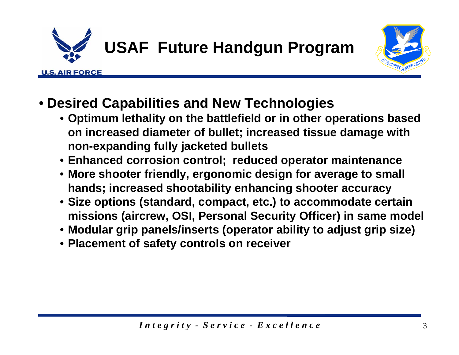



- **Desired Capabilities and New Technologies** 
	- **Optimum lethality on the battlefield or in other operations based on increased diameter of bullet; increased tissue damage with non-expanding fully jacketed bullets**
	- **Enhanced corrosion control; reduced operator maintenance**
	- **More shooter friendly, ergonomic design for average to small hands; increased shootability enhancing shooter accuracy**
	- **Size options (standard, compact, etc.) to accommodate certain missions (aircrew, OSI, Personal Security Officer) in same model**
	- **Modular grip panels/inserts (operator ability to adjust grip size)**
	- **Placement of safety controls on receiver**